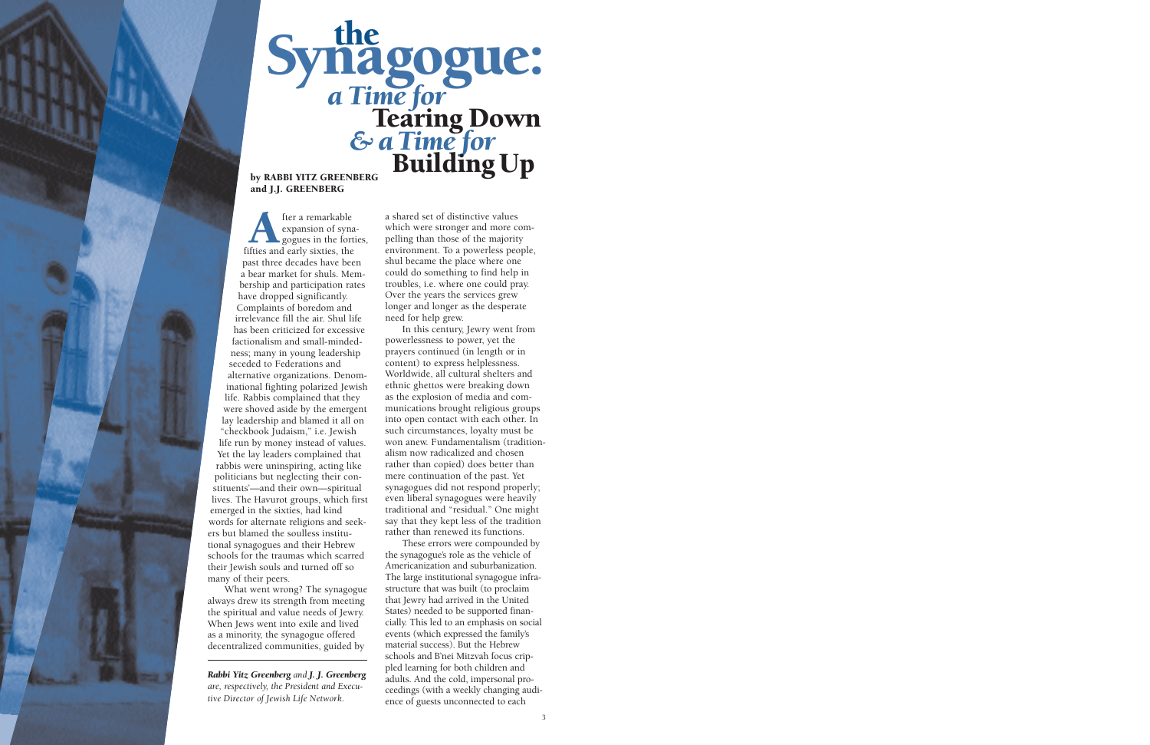

## Synagogue:<br> *a Time for*<br> *Earing Down*<br> *& a Time for*<br>
Building Up

## and J.J. GREENBERG

After a remarkable<br>
expansion of syna<br>
fifties and early sixties, the expansion of synagogues in the forties, past three decades have been a bear market for shuls. Membership and participation rates have dropped significantly. Complaints of boredom and irrelevance fill the air. Shul life has been criticized for excessive factionalism and small-mindedness; many in young leadership seceded to Federations and alternative organizations. Denominational fighting polarized Jewish life. Rabbis complained that they were shoved aside by the emergent lay leadership and blamed it all on "checkbook Judaism," i.e. Jewish life run by money instead of values. Yet the lay leaders complained that rabbis were uninspiring, acting like politicians but neglecting their constituents'—and their own—spiritual lives. The Havurot groups, which first emerged in the sixties, had kind words for alternate religions and seekers but blamed the soulless institutional synagogues and their Hebrew schools for the traumas which scarred their Jewish souls and turned off so many of their peers.

What went wrong? The synagogue always drew its strength from meeting the spiritual and value needs of Jewry. When Jews went into exile and lived as a minority, the synagogue offered decentralized communities, guided by

*Rabbi Yitz Greenberg and J. J. Greenberg are, respectively, the President and Executive Director of Jewish Life Network.* 

a shared set of distinctive values which were stronger and more compelling than those of the majority environment. To a powerless people, shul became the place where one could do something to find help in troubles, i.e. where one could pray. Over the years the services grew longer and longer as the desperate need for help grew.

In this century, Jewry went from powerlessness to power, yet the prayers continued (in length or in content) to express helplessness. Worldwide, all cultural shelters and ethnic ghettos were breaking down as the explosion of media and communications brought religious groups into open contact with each other. In such circumstances, loyalty must be won anew. Fundamentalism (traditionalism now radicalized and chosen rather than copied) does better than mere continuation of the past. Yet synagogues did not respond properly; even liberal synagogues were heavily traditional and "residual." One might say that they kept less of the tradition rather than renewed its functions.

These errors were compounded by the synagogue's role as the vehicle of Americanization and suburbanization. The large institutional synagogue infrastructure that was built (to proclaim that Jewry had arrived in the United States) needed to be supported financially. This led to an emphasis on social events (which expressed the family's material success). But the Hebrew schools and B'nei Mitzvah focus crippled learning for both children and adults. And the cold, impersonal proceedings (with a weekly changing audience of guests unconnected to each